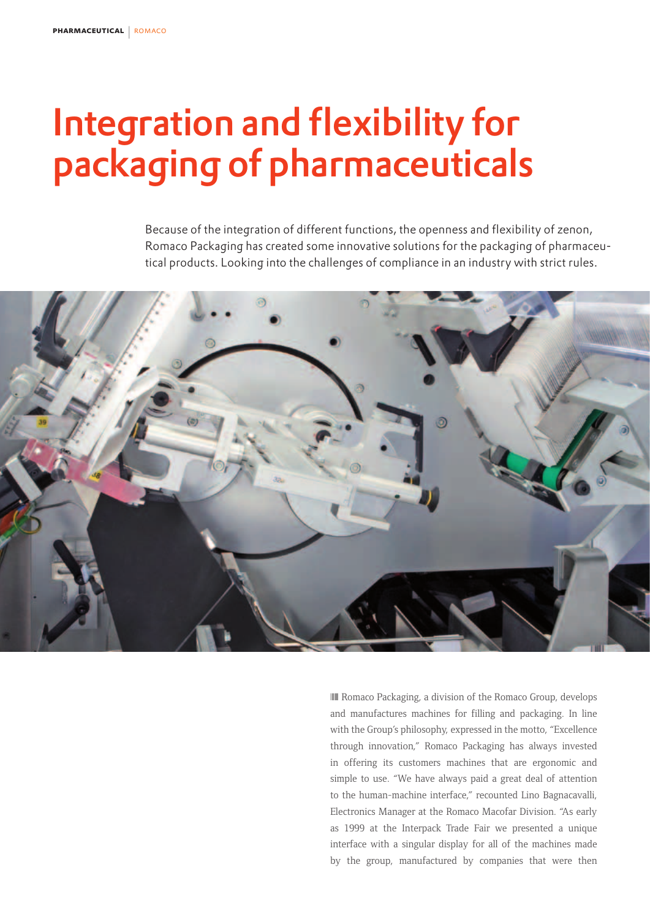## Integration and flexibility for packaging of pharmaceuticals

Because of the integration of different functions, the openness and flexibility of zenon, Romaco Packaging has created some innovative solutions for the packaging of pharmaceutical products. Looking into the challenges of compliance in an industry with strict rules.



❘❙❚ Romaco Packaging, a division of the Romaco Group, develops and manufactures machines for filling and packaging. In line with the Group's philosophy, expressed in the motto, "Excellence through innovation," Romaco Packaging has always invested in offering its customers machines that are ergonomic and simple to use. "We have always paid a great deal of attention to the human-machine interface," recounted Lino Bagnacavalli, Electronics Manager at the Romaco Macofar Division. "As early as 1999 at the Interpack Trade Fair we presented a unique interface with a singular display for all of the machines made by the group, manufactured by companies that were then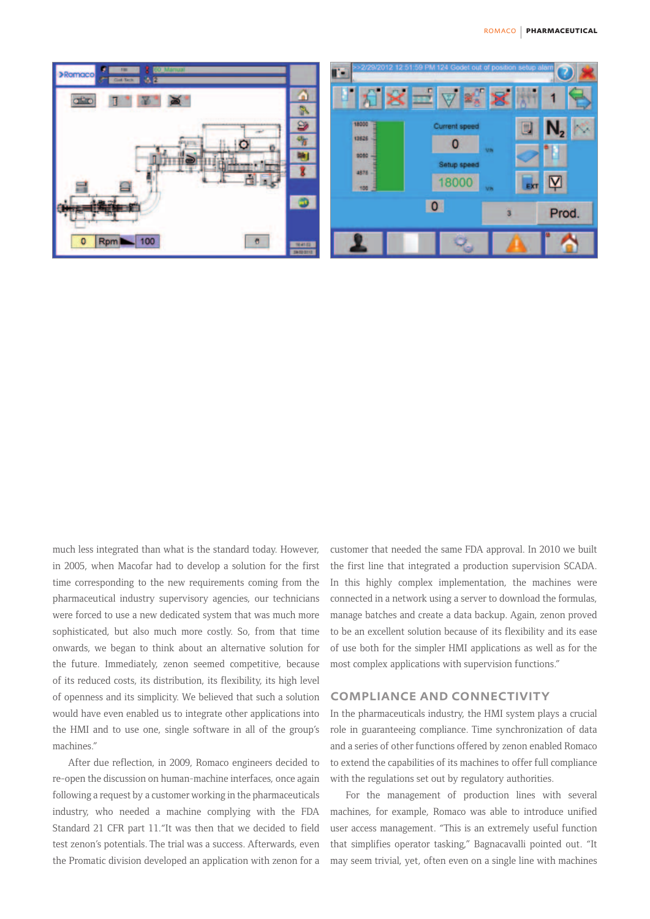

much less integrated than what is the standard today. However, in 2005, when Macofar had to develop a solution for the first time corresponding to the new requirements coming from the pharmaceutical industry supervisory agencies, our technicians were forced to use a new dedicated system that was much more sophisticated, but also much more costly. So, from that time onwards, we began to think about an alternative solution for the future. Immediately, zenon seemed competitive, because of its reduced costs, its distribution, its flexibility, its high level of openness and its simplicity. We believed that such a solution would have even enabled us to integrate other applications into the HMI and to use one, single software in all of the group's machines."

After due reflection, in 2009, Romaco engineers decided to re-open the discussion on human-machine interfaces, once again following a request by a customer working in the pharmaceuticals industry, who needed a machine complying with the FDA Standard 21 CFR part 11."It was then that we decided to field test zenon's potentials. The trial was a success. Afterwards, even the Promatic division developed an application with zenon for a customer that needed the same FDA approval. In 2010 we built the first line that integrated a production supervision SCADA. In this highly complex implementation, the machines were connected in a network using a server to download the formulas, manage batches and create a data backup. Again, zenon proved to be an excellent solution because of its flexibility and its ease of use both for the simpler HMI applications as well as for the most complex applications with supervision functions."

## compliance and connectivity

In the pharmaceuticals industry, the HMI system plays a crucial role in guaranteeing compliance. Time synchronization of data and a series of other functions offered by zenon enabled Romaco to extend the capabilities of its machines to offer full compliance with the regulations set out by regulatory authorities.

For the management of production lines with several machines, for example, Romaco was able to introduce unified user access management. "This is an extremely useful function that simplifies operator tasking," Bagnacavalli pointed out. "It may seem trivial, yet, often even on a single line with machines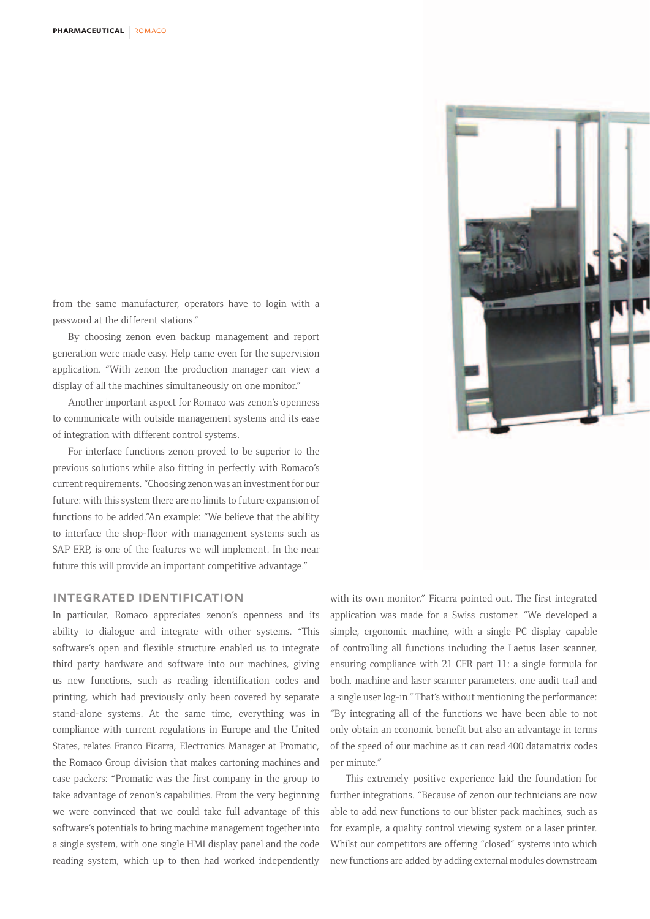from the same manufacturer, operators have to login with a password at the different stations."

By choosing zenon even backup management and report generation were made easy. Help came even for the supervision application. "With zenon the production manager can view a display of all the machines simultaneously on one monitor."

Another important aspect for Romaco was zenon's openness to communicate with outside management systems and its ease of integration with different control systems.

For interface functions zenon proved to be superior to the previous solutions while also fitting in perfectly with Romaco's current requirements. "Choosing zenon was an investment for our future: with this system there are no limits to future expansion of functions to be added."An example: "We believe that the ability to interface the shop-floor with management systems such as SAP ERP, is one of the features we will implement. In the near future this will provide an important competitive advantage."

## integrated identification

In particular, Romaco appreciates zenon's openness and its ability to dialogue and integrate with other systems. "This software's open and flexible structure enabled us to integrate third party hardware and software into our machines, giving us new functions, such as reading identification codes and printing, which had previously only been covered by separate stand-alone systems. At the same time, everything was in compliance with current regulations in Europe and the United States, relates Franco Ficarra, Electronics Manager at Promatic, the Romaco Group division that makes cartoning machines and case packers: "Promatic was the first company in the group to take advantage of zenon's capabilities. From the very beginning we were convinced that we could take full advantage of this software's potentials to bring machine management together into a single system, with one single HMI display panel and the code reading system, which up to then had worked independently

with its own monitor," Ficarra pointed out. The first integrated application was made for a Swiss customer. "We developed a simple, ergonomic machine, with a single PC display capable of controlling all functions including the Laetus laser scanner, ensuring compliance with 21 CFR part 11: a single formula for both, machine and laser scanner parameters, one audit trail and a single user log-in." That's without mentioning the performance: "By integrating all of the functions we have been able to not only obtain an economic benefit but also an advantage in terms of the speed of our machine as it can read 400 datamatrix codes per minute."

This extremely positive experience laid the foundation for further integrations. "Because of zenon our technicians are now able to add new functions to our blister pack machines, such as for example, a quality control viewing system or a laser printer. Whilst our competitors are offering "closed" systems into which new functions are added by adding external modules downstream